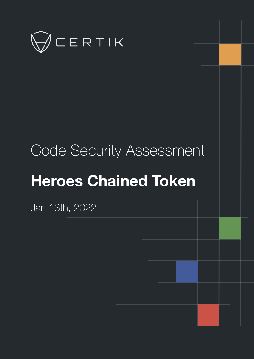

# Code Security Assessment

# **Heroes Chained Token**

Jan 13th, 2022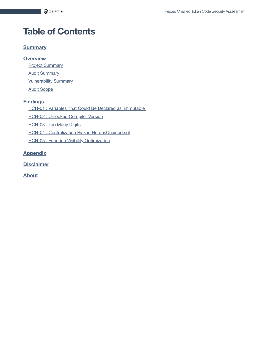# **Table of Contents**

#### **[Summary](#page-2-0)**

#### **[Overview](#page-3-0)**

**Project [Summary](#page-3-1)** 

**Audit [Summary](#page-3-2)** 

**[Vulnerability Summary](#page-3-3)** 

Audit [Scope](#page-4-0)

#### **[Findings](#page-5-0)**

HCH-01 : Variables That Could Be Declared [as `immutable`](#page-6-0)

HCH-02 : [Unlocked](#page-7-0) Compiler Version

HCH-03 : Too [Many Digits](#page-8-0)

HCH-04 : Centralization Risk in [HeroesChained.sol](#page-9-0)

**HCH-05 : Function [Visibility Optimization](#page-13-0)** 

#### **[Appendix](#page-14-0)**

**[Disclaimer](#page-15-0)**

**[About](#page-18-0)**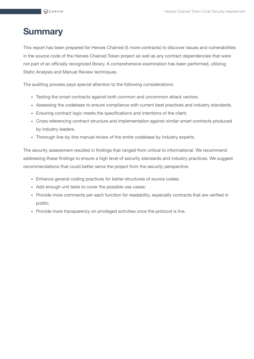# <span id="page-2-0"></span>**Summary**

This report has been prepared for Heroes Chained (5 more contracts) to discover issues and vulnerabilities in the source code of the Heroes Chained Token project as well as any contract dependencies that were not part of an officially recognized library. A comprehensive examination has been performed, utilizing Static Analysis and Manual Review techniques.

The auditing process pays special attention to the following considerations:

- Testing the smart contracts against both common and uncommon attack vectors.
- Assessing the codebase to ensure compliance with current best practices and industry standards.
- Ensuring contract logic meets the specifications and intentions of the client.
- Cross referencing contract structure and implementation against similar smart contracts produced by industry leaders.
- Thorough line-by-line manual review of the entire codebase by industry experts.

The security assessment resulted in findings that ranged from critical to informational. We recommend addressing these findings to ensure a high level of security standards and industry practices. We suggest recommendations that could better serve the project from the security perspective:

- Enhance general coding practices for better structures of source codes;
- Add enough unit tests to cover the possible use cases;
- Provide more comments per each function for readability, especially contracts that are verified in public;
- Provide more transparency on privileged activities once the protocol is live.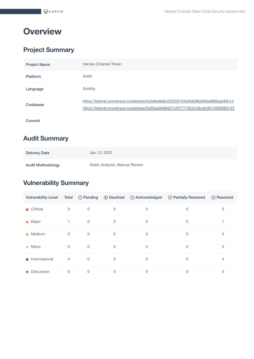# <span id="page-3-0"></span>**Overview**

#### <span id="page-3-1"></span>**Project Summary**

| <b>Project Name</b> | <b>Heroes Chained Token</b>                                                                                                                                        |
|---------------------|--------------------------------------------------------------------------------------------------------------------------------------------------------------------|
| <b>Platform</b>     | <b>AVAX</b>                                                                                                                                                        |
| Language            | Solidity                                                                                                                                                           |
| Codebase            | https://testnet.snowtrace.io/address/0x2ebe8e6c225f20104a5fd298a09de889bad49c14<br>https://testnet.snowtrace.io/address/0x69aa0e68d21c3f7771625c58ceb3614580883143 |
| Commit              |                                                                                                                                                                    |

#### <span id="page-3-2"></span>**Audit Summary**

| <b>Delivery Date</b> | Jan 13, 2022                   |
|----------------------|--------------------------------|
| Audit Methodology    | Static Analysis, Manual Review |

#### <span id="page-3-3"></span>**Vulnerability Summary**

| <b>Vulnerability Level</b> | Total          |             |          | ① Pending ② Declined ① Acknowledged | <sup>1</sup> Partially Resolved | ⊙ Resolved |
|----------------------------|----------------|-------------|----------|-------------------------------------|---------------------------------|------------|
| $\bullet$ Critical         | $\mathbf 0$    | $\mathbf 0$ | 0        | 0                                   | 0                               | 0          |
| • Major                    |                | $\mathbf 0$ | 0        | 0                                   | 0                               |            |
| Medium<br>$\bullet$        | $\mathbf 0$    | $\mathbf 0$ | $\Omega$ | 0                                   | 0                               | 0          |
| Minor<br>$\bullet$         | $\mathbf 0$    | $\mathbf 0$ | $\Omega$ | 0                                   | 0                               | 0          |
| $\bullet$ Informational    | $\overline{4}$ | $\mathbf 0$ | $\Omega$ | 0                                   | $\Omega$                        | 4          |
| Discussion<br>$\bullet$    | 0              | 0           | 0        | 0                                   | 0                               | 0          |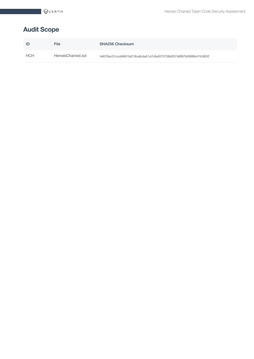## <span id="page-4-0"></span>**Audit Scope**

| ID  | File              | <b>SHA256 Checksum</b>                                           |
|-----|-------------------|------------------------------------------------------------------|
| HCH | HeroesChained.sol | 4d076ac31ccd4661fa219cafcda51a7cfa4075708d207d6f97b0999b41fc0832 |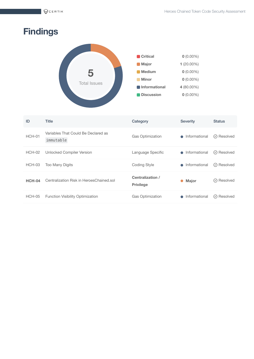# <span id="page-5-0"></span>**Findings**



| ID            | <b>Title</b>                                     | Category                             | <b>Severity</b>            | <b>Status</b>                   |
|---------------|--------------------------------------------------|--------------------------------------|----------------------------|---------------------------------|
| HCH-01        | Variables That Could Be Declared as<br>immutable | Gas Optimization                     | Informational<br>$\bigcap$ | Resolved<br>$(\vee)$            |
| $HCH-02$      | Unlocked Compiler Version                        | Language Specific                    | Informational<br>$\bigcap$ | $\oslash$ Resolved              |
| HCH-03        | <b>Too Many Digits</b>                           | <b>Coding Style</b>                  | Informational              | $\oslash$ Resolved              |
| <b>HCH-04</b> | Centralization Risk in HeroesChained.sol         | Centralization /<br><b>Privilege</b> | <b>Major</b><br>$\bullet$  | ⊙ Resolved                      |
| $HCH-05$      | <b>Function Visibility Optimization</b>          | <b>Gas Optimization</b>              | Informational              | Resolved<br>$\circlearrowright$ |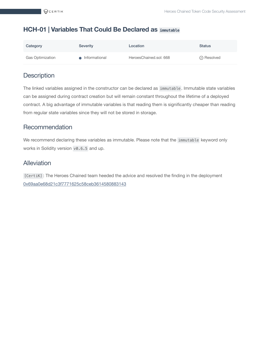#### <span id="page-6-0"></span>**HCH-01 | Variables That Could Be Declared as immutable**

| Category                | <b>Severity</b> | Location               | <b>Status</b>      |
|-------------------------|-----------------|------------------------|--------------------|
| <b>Gas Optimization</b> | • Informational | HeroesChained.sol: 668 | $\oslash$ Resolved |

#### **Description**

The linked variables assigned in the constructor can be declared as immutable . Immutable state variables can be assigned during contract creation but will remain constant throughout the lifetime of a deployed contract. A big advantage of immutable variables is that reading them is significantly cheaper than reading from regular state variables since they will not be stored in storage.

#### Recommendation

We recommend declaring these variables as immutable. Please note that the immutable keyword only works in Solidity version v0.6.5 and up.

#### Alleviation

[CertiK] : The Heroes Chained team heeded the advice and resolved the finding in the deployment [0x69aa0e68d21c3f7771625c58ceb3614580883143](https://testnet.snowtrace.io/address/0x69aa0e68d21c3f7771625c58ceb3614580883143)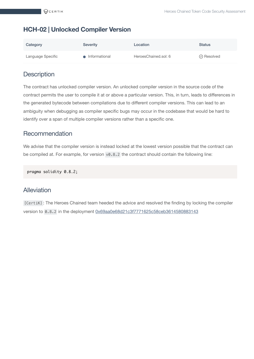#### <span id="page-7-0"></span>**HCH-02 | Unlocked Compiler Version**

| Category          | <b>Severity</b> | Location             | <b>Status</b>      |
|-------------------|-----------------|----------------------|--------------------|
| Language Specific | • Informational | HeroesChained.sol: 6 | $\oslash$ Resolved |

#### **Description**

The contract has unlocked compiler version. An unlocked compiler version in the source code of the contract permits the user to compile it at or above a particular version. This, in turn, leads to differences in the generated bytecode between compilations due to different compiler versions. This can lead to an ambiguity when debugging as compiler specific bugs may occur in the codebase that would be hard to identify over a span of multiple compiler versions rather than a specific one.

#### Recommendation

We advise that the compiler version is instead locked at the lowest version possible that the contract can be compiled at. For example, for version v0.8.2 the contract should contain the following line:

pragma solidity 0.8.2;

#### Alleviation

[CertiK] : The Heroes Chained team heeded the advice and resolved the finding by locking the compiler version to 0.8.2 in the deployment [0x69aa0e68d21c3f7771625c58ceb3614580883143](https://testnet.snowtrace.io/address/0x69aa0e68d21c3f7771625c58ceb3614580883143)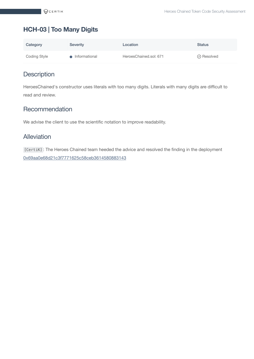### <span id="page-8-0"></span>**HCH-03 | Too Many Digits**

| Category     | <b>Severity</b> | Location               | <b>Status</b>      |
|--------------|-----------------|------------------------|--------------------|
| Coding Style | • Informational | HeroesChained.sol: 671 | $\oslash$ Resolved |

#### **Description**

HeroesChained's constructor uses literals with too many digits. Literals with many digits are difficult to read and review.

#### Recommendation

We advise the client to use the scientific notation to improve readability.

#### Alleviation

[CertiK] : The Heroes Chained team heeded the advice and resolved the finding in the deployment [0x69aa0e68d21c3f7771625c58ceb3614580883143](https://testnet.snowtrace.io/address/0x69aa0e68d21c3f7771625c58ceb3614580883143)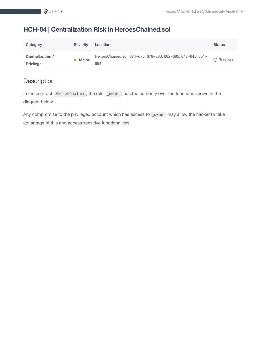#### <span id="page-9-0"></span>**HCH-04 | Centralization Risk in HeroesChained.sol**

| Category                             | Severity | Location                                                           | <b>Status</b>      |
|--------------------------------------|----------|--------------------------------------------------------------------|--------------------|
| Centralization /<br><b>Privilege</b> | • Major  | HeroesChained.sol: 674~676, 678~680, 682~685, 643~645, 651~<br>654 | $\oslash$ Resolved |

#### **Description**

In the contract, HeroesChained, the role, \_owner, has the authority over the functions shown in the diagram below.

Any compromise to the privileged account which has access to \_owner may allow the hacker to take advantage of this and access sensitive functionalities.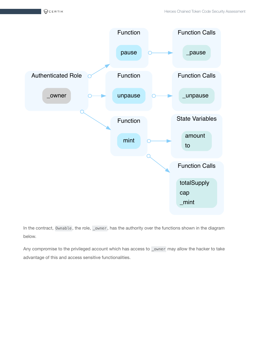

In the contract, Ownable, the role, \_owner, has the authority over the functions shown in the diagram below.

Any compromise to the privileged account which has access to \_owner may allow the hacker to take advantage of this and access sensitive functionalities.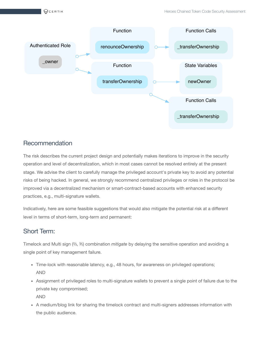

#### Recommendation

The risk describes the current project design and potentially makes iterations to improve in the security operation and level of decentralization, which in most cases cannot be resolved entirely at the present stage. We advise the client to carefully manage the privileged account's private key to avoid any potential risks of being hacked. In general, we strongly recommend centralized privileges or roles in the protocol be improved via a decentralized mechanism or smart-contract-based accounts with enhanced security practices, e.g., multi-signature wallets.

Indicatively, here are some feasible suggestions that would also mitigate the potential risk at a different level in terms of short-term, long-term and permanent:

#### Short Term:

Timelock and Multi sign (⅔, ⅗) combination *mitigate* by delaying the sensitive operation and avoiding a single point of key management failure.

- Time-lock with reasonable latency, e.g., 48 hours, for awareness on privileged operations; AND
- Assignment of privileged roles to multi-signature wallets to prevent a single point of failure due to the private key compromised; AND
- A medium/blog link for sharing the timelock contract and multi-signers addresses information with the public audience.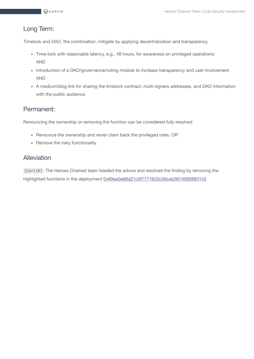#### Long Term:

Timelock and DAO, the combination, *mitigate* by applying decentralization and transparency.

- Time-lock with reasonable latency, e.g., 48 hours, for awareness on privileged operations; AND
- Introduction of a DAO/governance/voting module to increase transparency and user involvement. AND
- A medium/blog link for sharing the timelock contract, multi-signers addresses, and DAO information with the public audience.

#### Permanent:

Renouncing the ownership or removing the function can be considered *fully resolved*.

- Renounce the ownership and never claim back the privileged roles. OR
- Remove the risky functionality.

#### Alleviation

[CertiK] : The Heroes Chained team heeded the advice and resolved the finding by removing the highlighted functions in the deployment [0x69aa0e68d21c3f7771625c58ceb3614580883143](https://testnet.snowtrace.io/address/0x69aa0e68d21c3f7771625c58ceb3614580883143)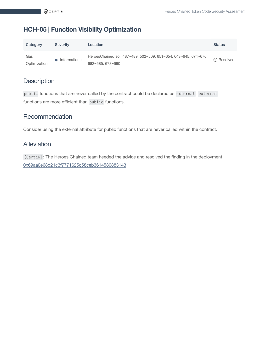#### <span id="page-13-0"></span>**HCH-05 | Function Visibility Optimization**

| Category            | <b>Severity</b> | Location                                                                            | <b>Status</b>    |
|---------------------|-----------------|-------------------------------------------------------------------------------------|------------------|
| Gas<br>Optimization | Informational   | HeroesChained.sol: 487~489, 502~509, 651~654, 643~645, 674~676,<br>682~685, 678~680 | $\odot$ Resolved |

#### **Description**

public functions that are never called by the contract could be declared as external . external functions are more efficient than public functions.

#### Recommendation

Consider using the external attribute for public functions that are never called within the contract.

#### Alleviation

[CertiK] : The Heroes Chained team heeded the advice and resolved the finding in the deployment [0x69aa0e68d21c3f7771625c58ceb3614580883143](https://testnet.snowtrace.io/address/0x69aa0e68d21c3f7771625c58ceb3614580883143)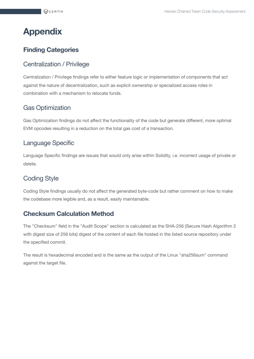# <span id="page-14-0"></span>**Appendix**

#### **Finding Categories**

#### Centralization / Privilege

Centralization / Privilege findings refer to either feature logic or implementation of components that act against the nature of decentralization, such as explicit ownership or specialized access roles in combination with a mechanism to relocate funds.

#### Gas Optimization

Gas Optimization findings do not affect the functionality of the code but generate different, more optimal EVM opcodes resulting in a reduction on the total gas cost of a transaction.

#### Language Specific

Language Specific findings are issues that would only arise within Solidity, i.e. incorrect usage of private or delete.

#### Coding Style

Coding Style findings usually do not affect the generated byte-code but rather comment on how to make the codebase more legible and, as a result, easily maintainable.

#### **Checksum Calculation Method**

The "Checksum" field in the "Audit Scope" section is calculated as the SHA-256 (Secure Hash Algorithm 2 with digest size of 256 bits) digest of the content of each file hosted in the listed source repository under the specified commit.

The result is hexadecimal encoded and is the same as the output of the Linux "sha256sum" command against the target file.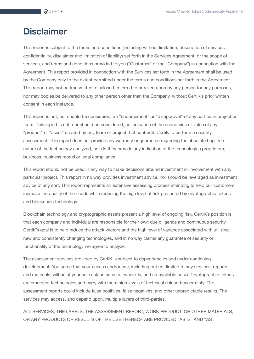# <span id="page-15-0"></span>**Disclaimer**

This report is subject to the terms and conditions (including without limitation, description of services, confidentiality, disclaimer and limitation of liability) set forth in the Services Agreement, or the scope of services, and terms and conditions provided to you ("Customer" or the "Company") in connection with the Agreement. This report provided in connection with the Services set forth in the Agreement shall be used by the Company only to the extent permitted under the terms and conditions set forth in the Agreement. This report may not be transmitted, disclosed, referred to or relied upon by any person for any purposes, nor may copies be delivered to any other person other than the Company, without CertiK's prior written consent in each instance.

This report is not, nor should be considered, an "endorsement" or "disapproval" of any particular project or team. This report is not, nor should be considered, an indication of the economics or value of any "product" or "asset" created by any team or project that contracts CertiK to perform a security assessment. This report does not provide any warranty or guarantee regarding the absolute bug-free nature of the technology analyzed, nor do they provide any indication of the technologies proprietors, business, business model or legal compliance.

This report should not be used in any way to make decisions around investment or involvement with any particular project. This report in no way provides investment advice, nor should be leveraged as investment advice of any sort. This report represents an extensive assessing process intending to help our customers increase the quality of their code while reducing the high level of risk presented by cryptographic tokens and blockchain technology.

Blockchain technology and cryptographic assets present a high level of ongoing risk. CertiK's position is that each company and individual are responsible for their own due diligence and continuous security. CertiK's goal is to help reduce the attack vectors and the high level of variance associated with utilizing new and consistently changing technologies, and in no way claims any guarantee of security or functionality of the technology we agree to analyze.

The assessment services provided by CertiK is subject to dependencies and under continuing development. You agree that your access and/or use, including but not limited to any services, reports, and materials, will be at your sole risk on an as-is, where-is, and as-available basis. Cryptographic tokens are emergent technologies and carry with them high levels of technical risk and uncertainty. The assessment reports could include false positives, false negatives, and other unpredictable results. The services may access, and depend upon, multiple layers of third-parties.

ALL SERVICES, THE LABELS, THE ASSESSMENT REPORT, WORK PRODUCT, OR OTHER MATERIALS, OR ANY PRODUCTS OR RESULTS OF THE USE THEREOF ARE PROVIDED "AS IS" AND "AS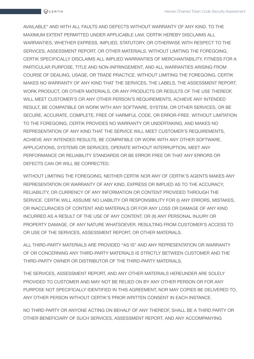AVAILABLE" AND WITH ALL FAULTS AND DEFECTS WITHOUT WARRANTY OF ANY KIND. TO THE MAXIMUM EXTENT PERMITTED UNDER APPLICABLE LAW, CERTIK HEREBY DISCLAIMS ALL WARRANTIES, WHETHER EXPRESS, IMPLIED, STATUTORY, OR OTHERWISE WITH RESPECT TO THE SERVICES, ASSESSMENT REPORT, OR OTHER MATERIALS. WITHOUT LIMITING THE FOREGOING, CERTIK SPECIFICALLY DISCLAIMS ALL IMPLIED WARRANTIES OF MERCHANTABILITY, FITNESS FOR A PARTICULAR PURPOSE, TITLE AND NON-INFRINGEMENT, AND ALL WARRANTIES ARISING FROM COURSE OF DEALING, USAGE, OR TRADE PRACTICE. WITHOUT LIMITING THE FOREGOING, CERTIK MAKES NO WARRANTY OF ANY KIND THAT THE SERVICES, THE LABELS, THE ASSESSMENT REPORT, WORK PRODUCT, OR OTHER MATERIALS, OR ANY PRODUCTS OR RESULTS OF THE USE THEREOF, WILL MEET CUSTOMER'S OR ANY OTHER PERSON'S REQUIREMENTS, ACHIEVE ANY INTENDED RESULT, BE COMPATIBLE OR WORK WITH ANY SOFTWARE, SYSTEM, OR OTHER SERVICES, OR BE SECURE, ACCURATE, COMPLETE, FREE OF HARMFUL CODE, OR ERROR-FREE. WITHOUT LIMITATION TO THE FOREGOING, CERTIK PROVIDES NO WARRANTY OR UNDERTAKING, AND MAKES NO REPRESENTATION OF ANY KIND THAT THE SERVICE WILL MEET CUSTOMER'S REQUIREMENTS, ACHIEVE ANY INTENDED RESULTS, BE COMPATIBLE OR WORK WITH ANY OTHER SOFTWARE, APPLICATIONS, SYSTEMS OR SERVICES, OPERATE WITHOUT INTERRUPTION, MEET ANY PERFORMANCE OR RELIABILITY STANDARDS OR BE ERROR FREE OR THAT ANY ERRORS OR DEFECTS CAN OR WILL BE CORRECTED.

WITHOUT LIMITING THE FOREGOING, NEITHER CERTIK NOR ANY OF CERTIK'S AGENTS MAKES ANY REPRESENTATION OR WARRANTY OF ANY KIND, EXPRESS OR IMPLIED AS TO THE ACCURACY, RELIABILITY, OR CURRENCY OF ANY INFORMATION OR CONTENT PROVIDED THROUGH THE SERVICE. CERTIK WILL ASSUME NO LIABILITY OR RESPONSIBILITY FOR (I) ANY ERRORS, MISTAKES, OR INACCURACIES OF CONTENT AND MATERIALS OR FOR ANY LOSS OR DAMAGE OF ANY KIND INCURRED AS A RESULT OF THE USE OF ANY CONTENT, OR (II) ANY PERSONAL INJURY OR PROPERTY DAMAGE, OF ANY NATURE WHATSOEVER, RESULTING FROM CUSTOMER'S ACCESS TO OR USE OF THE SERVICES, ASSESSMENT REPORT, OR OTHER MATERIALS.

ALL THIRD-PARTY MATERIALS ARE PROVIDED "AS IS" AND ANY REPRESENTATION OR WARRANTY OF OR CONCERNING ANY THIRD-PARTY MATERIALS IS STRICTLY BETWEEN CUSTOMER AND THE THIRD-PARTY OWNER OR DISTRIBUTOR OF THE THIRD-PARTY MATERIALS.

THE SERVICES, ASSESSMENT REPORT, AND ANY OTHER MATERIALS HEREUNDER ARE SOLELY PROVIDED TO CUSTOMER AND MAY NOT BE RELIED ON BY ANY OTHER PERSON OR FOR ANY PURPOSE NOT SPECIFICALLY IDENTIFIED IN THIS AGREEMENT, NOR MAY COPIES BE DELIVERED TO, ANY OTHER PERSON WITHOUT CERTIK'S PRIOR WRITTEN CONSENT IN EACH INSTANCE.

NO THIRD PARTY OR ANYONE ACTING ON BEHALF OF ANY THEREOF, SHALL BE A THIRD PARTY OR OTHER BENEFICIARY OF SUCH SERVICES, ASSESSMENT REPORT, AND ANY ACCOMPANYING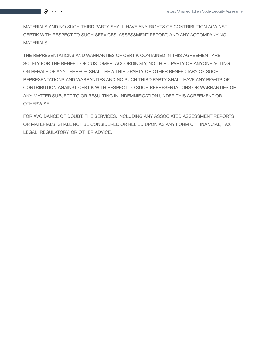MATERIALS AND NO SUCH THIRD PARTY SHALL HAVE ANY RIGHTS OF CONTRIBUTION AGAINST CERTIK WITH RESPECT TO SUCH SERVICES, ASSESSMENT REPORT, AND ANY ACCOMPANYING MATERIALS.

THE REPRESENTATIONS AND WARRANTIES OF CERTIK CONTAINED IN THIS AGREEMENT ARE SOLELY FOR THE BENEFIT OF CUSTOMER. ACCORDINGLY, NO THIRD PARTY OR ANYONE ACTING ON BEHALF OF ANY THEREOF, SHALL BE A THIRD PARTY OR OTHER BENEFICIARY OF SUCH REPRESENTATIONS AND WARRANTIES AND NO SUCH THIRD PARTY SHALL HAVE ANY RIGHTS OF CONTRIBUTION AGAINST CERTIK WITH RESPECT TO SUCH REPRESENTATIONS OR WARRANTIES OR ANY MATTER SUBJECT TO OR RESULTING IN INDEMNIFICATION UNDER THIS AGREEMENT OR OTHERWISE.

FOR AVOIDANCE OF DOUBT, THE SERVICES, INCLUDING ANY ASSOCIATED ASSESSMENT REPORTS OR MATERIALS, SHALL NOT BE CONSIDERED OR RELIED UPON AS ANY FORM OF FINANCIAL, TAX, LEGAL, REGULATORY, OR OTHER ADVICE.